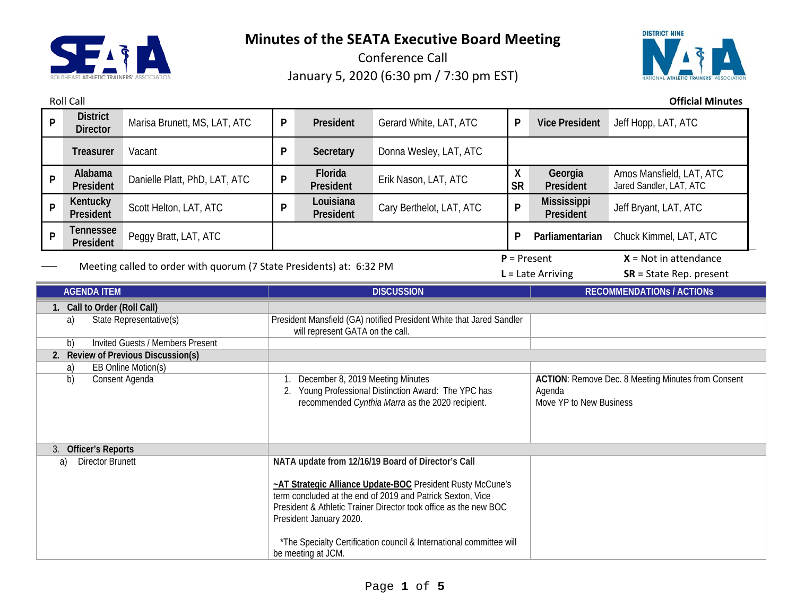

Conference Call January 5, 2020 (6:30 pm / 7:30 pm EST)

Roll Call **Official Minutes**



**<sup>P</sup> District Director** Marisa Brunett, MS, LAT, ATC **<sup>P</sup> President** Gerard White, LAT, ATC **<sup>P</sup> Vice President** Jeff Hopp, LAT, ATC **Treasurer** Vacant **P Secretary** Donna Wesley, LAT, ATC **<sup>P</sup> Alabama P President** Platt, PhD, LAT, ATC **P P President Prik Nason, LAT, ATC** X **SR Georgia President** Amos Mansfield, LAT, ATC Jared Sandler, LAT, ATC **<sup>P</sup> Kentucky President** Scott Helton, LAT, ATC **<sup>P</sup> Louisiana President** Cary Berthelot, LAT, ATC **<sup>P</sup> Mississippi**  Jeff Bryant, LAT, ATC **<sup>P</sup> Tennessee President** Peggy Bratt, LAT, ATC **<sup>P</sup> Parliamentarian** Chuck Kimmel, LAT, ATC Meeting called to order with quorum (7 State Presidents) at: 6:32 PM  $P =$  Present  $X =$  Not in attendance **L** = Late Arriving **SR** = State Rep. present **AGENDA ITEM DISCUSSION RECOMMENDATIONs / ACTIONs 1. Call to Order (Roll Call)** a) State Representative(s) President Mansfield (GA) notified President White that Jared Sandler will represent GATA on the call. b) Invited Guests / Members Present **2. Review of Previous Discussion(s)** a) EB Online Motion(s) b) Consent Agenda 1. December 8, 2019 Meeting Minutes 2. Young Professional Distinction Award: The YPC has recommended *Cynthia Marra* as the 2020 recipient. **ACTION**: Remove Dec. 8 Meeting Minutes from Consent Agenda Move YP to New Business 3. **Officer's Reports** a) Director Brunett **NATA update from 12/16/19 Board of Director's Call ~AT Strategic Alliance Update-BOC** President Rusty McCune's term concluded at the end of 2019 and Patrick Sexton, Vice President & Athletic Trainer Director took office as the new BOC President January 2020. \*The Specialty Certification council & International committee will

be meeting at JCM.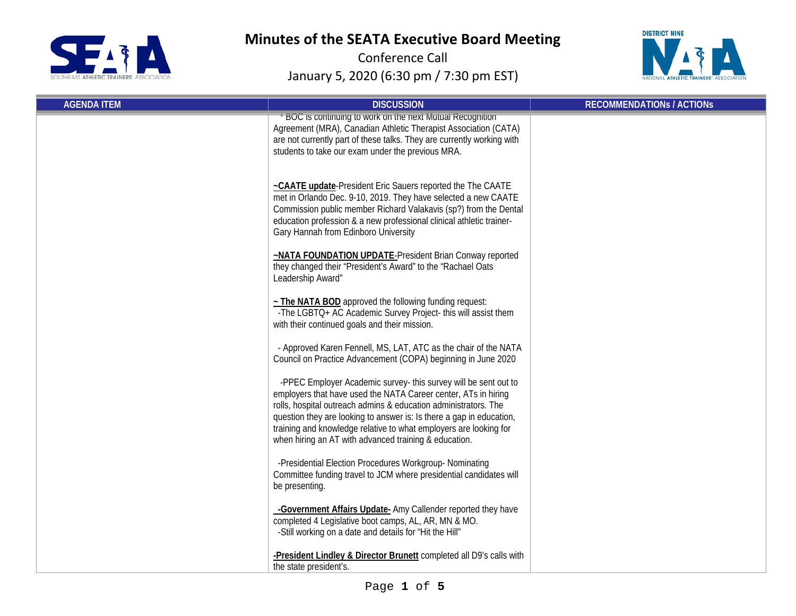



| <b>AGENDA ITEM</b> | <b>DISCUSSION</b>                                                                                                                                                                                                                                                                                                                                                                                          | <b>RECOMMENDATIONS / ACTIONS</b> |
|--------------------|------------------------------------------------------------------------------------------------------------------------------------------------------------------------------------------------------------------------------------------------------------------------------------------------------------------------------------------------------------------------------------------------------------|----------------------------------|
|                    | BOC is continuing to work on the next Mutual Recognition<br>Agreement (MRA), Canadian Athletic Therapist Association (CATA)<br>are not currently part of these talks. They are currently working with<br>students to take our exam under the previous MRA.                                                                                                                                                 |                                  |
|                    | ~CAATE update-President Eric Sauers reported the The CAATE<br>met in Orlando Dec. 9-10, 2019. They have selected a new CAATE<br>Commission public member Richard Valakavis (sp?) from the Dental<br>education profession & a new professional clinical athletic trainer-<br>Gary Hannah from Edinboro University                                                                                           |                                  |
|                    | ~NATA FOUNDATION UPDATE-President Brian Conway reported<br>they changed their "President's Award" to the "Rachael Oats<br>Leadership Award"                                                                                                                                                                                                                                                                |                                  |
|                    | $\sim$ The NATA BOD approved the following funding request:<br>-The LGBTQ+ AC Academic Survey Project- this will assist them<br>with their continued goals and their mission.                                                                                                                                                                                                                              |                                  |
|                    | - Approved Karen Fennell, MS, LAT, ATC as the chair of the NATA<br>Council on Practice Advancement (COPA) beginning in June 2020                                                                                                                                                                                                                                                                           |                                  |
|                    | -PPEC Employer Academic survey- this survey will be sent out to<br>employers that have used the NATA Career center, ATs in hiring<br>rolls, hospital outreach admins & education administrators. The<br>question they are looking to answer is: Is there a gap in education,<br>training and knowledge relative to what employers are looking for<br>when hiring an AT with advanced training & education. |                                  |
|                    | -Presidential Election Procedures Workgroup- Nominating<br>Committee funding travel to JCM where presidential candidates will<br>be presenting.                                                                                                                                                                                                                                                            |                                  |
|                    | -Government Affairs Update- Amy Callender reported they have<br>completed 4 Legislative boot camps, AL, AR, MN & MO.<br>-Still working on a date and details for "Hit the Hill"                                                                                                                                                                                                                            |                                  |
|                    | -President Lindley & Director Brunett completed all D9's calls with<br>the state president's.                                                                                                                                                                                                                                                                                                              |                                  |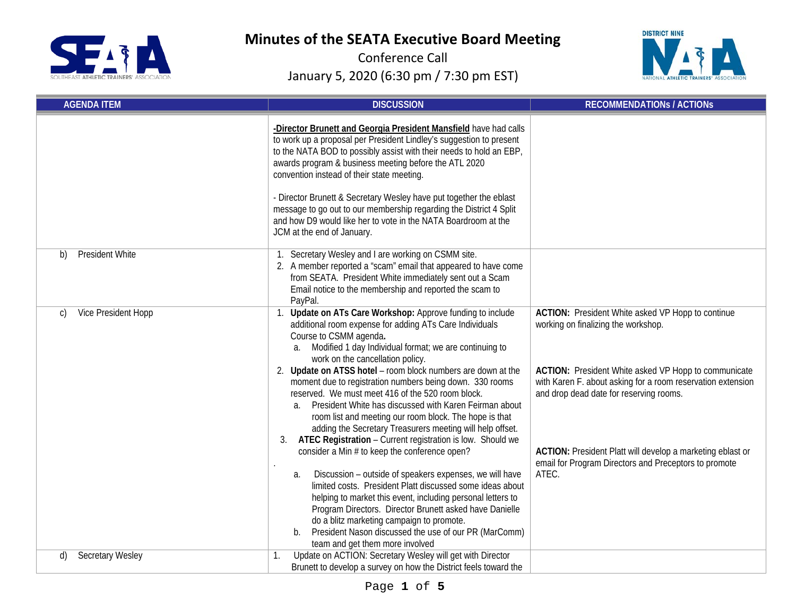



| <b>AGENDA ITEM</b>            | <b>DISCUSSION</b>                                                                                                                                                                                                                                                                                                                                                                                                                                                                                                                                                                                                                                                                                                                                                                                                                                                                                                                                                                                                                                                                                                                                 | <b>RECOMMENDATIONS / ACTIONS</b>                                                                                                                                                                                                                                                                                                                                                           |
|-------------------------------|---------------------------------------------------------------------------------------------------------------------------------------------------------------------------------------------------------------------------------------------------------------------------------------------------------------------------------------------------------------------------------------------------------------------------------------------------------------------------------------------------------------------------------------------------------------------------------------------------------------------------------------------------------------------------------------------------------------------------------------------------------------------------------------------------------------------------------------------------------------------------------------------------------------------------------------------------------------------------------------------------------------------------------------------------------------------------------------------------------------------------------------------------|--------------------------------------------------------------------------------------------------------------------------------------------------------------------------------------------------------------------------------------------------------------------------------------------------------------------------------------------------------------------------------------------|
|                               | -Director Brunett and Georgia President Mansfield have had calls<br>to work up a proposal per President Lindley's suggestion to present<br>to the NATA BOD to possibly assist with their needs to hold an EBP,<br>awards program & business meeting before the ATL 2020<br>convention instead of their state meeting.<br>- Director Brunett & Secretary Wesley have put together the eblast<br>message to go out to our membership regarding the District 4 Split<br>and how D9 would like her to vote in the NATA Boardroom at the<br>JCM at the end of January.                                                                                                                                                                                                                                                                                                                                                                                                                                                                                                                                                                                 |                                                                                                                                                                                                                                                                                                                                                                                            |
| <b>President White</b><br>b)  | 1. Secretary Wesley and I are working on CSMM site.<br>2. A member reported a "scam" email that appeared to have come<br>from SEATA. President White immediately sent out a Scam<br>Email notice to the membership and reported the scam to<br>PayPal.                                                                                                                                                                                                                                                                                                                                                                                                                                                                                                                                                                                                                                                                                                                                                                                                                                                                                            |                                                                                                                                                                                                                                                                                                                                                                                            |
| Vice President Hopp<br>C)     | 1. Update on ATs Care Workshop: Approve funding to include<br>additional room expense for adding ATs Care Individuals<br>Course to CSMM agenda.<br>a. Modified 1 day Individual format; we are continuing to<br>work on the cancellation policy.<br>Update on ATSS hotel - room block numbers are down at the<br>moment due to registration numbers being down. 330 rooms<br>reserved. We must meet 416 of the 520 room block.<br>President White has discussed with Karen Feirman about<br>a.<br>room list and meeting our room block. The hope is that<br>adding the Secretary Treasurers meeting will help offset.<br>ATEC Registration - Current registration is low. Should we<br>3.<br>consider a Min # to keep the conference open?<br>Discussion - outside of speakers expenses, we will have<br>а.<br>limited costs. President Platt discussed some ideas about<br>helping to market this event, including personal letters to<br>Program Directors. Director Brunett asked have Danielle<br>do a blitz marketing campaign to promote.<br>President Nason discussed the use of our PR (MarComm)<br>b.<br>team and get them more involved | ACTION: President White asked VP Hopp to continue<br>working on finalizing the workshop.<br>ACTION: President White asked VP Hopp to communicate<br>with Karen F. about asking for a room reservation extension<br>and drop dead date for reserving rooms.<br>ACTION: President Platt will develop a marketing eblast or<br>email for Program Directors and Preceptors to promote<br>ATEC. |
| <b>Secretary Wesley</b><br>d) | Update on ACTION: Secretary Wesley will get with Director<br>1.<br>Brunett to develop a survey on how the District feels toward the                                                                                                                                                                                                                                                                                                                                                                                                                                                                                                                                                                                                                                                                                                                                                                                                                                                                                                                                                                                                               |                                                                                                                                                                                                                                                                                                                                                                                            |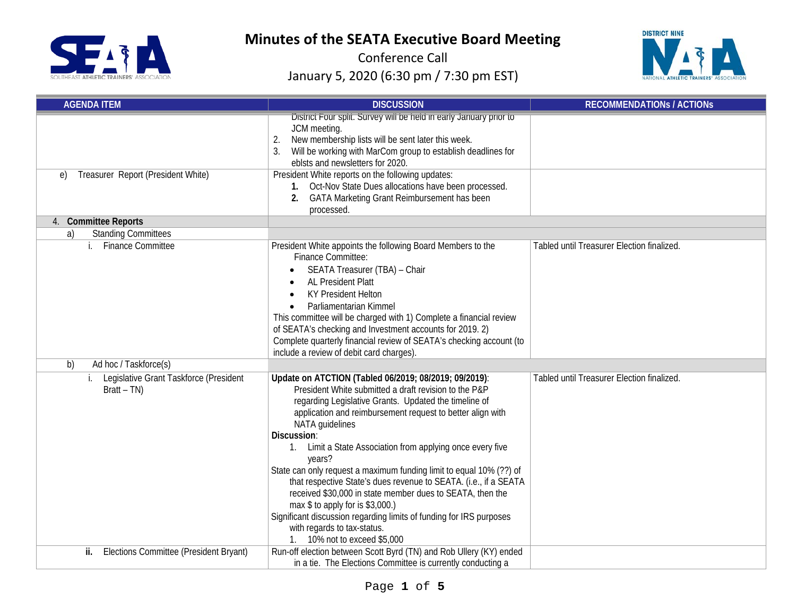



| <b>AGENDA ITEM</b>                                            | <b>DISCUSSION</b>                                                                                                                                                                                                                                                                                                                                                                                                                                                                                                                                                                                                                                                                                                                 | <b>RECOMMENDATIONS / ACTIONS</b>           |
|---------------------------------------------------------------|-----------------------------------------------------------------------------------------------------------------------------------------------------------------------------------------------------------------------------------------------------------------------------------------------------------------------------------------------------------------------------------------------------------------------------------------------------------------------------------------------------------------------------------------------------------------------------------------------------------------------------------------------------------------------------------------------------------------------------------|--------------------------------------------|
| Treasurer Report (President White)<br>e)                      | District Four split. Survey will be held in early January prior to<br>JCM meeting.<br>New membership lists will be sent later this week.<br>2.<br>Will be working with MarCom group to establish deadlines for<br>eblsts and newsletters for 2020.<br>President White reports on the following updates:<br>1. Oct-Nov State Dues allocations have been processed.<br><b>GATA Marketing Grant Reimbursement has been</b><br>2.<br>processed.                                                                                                                                                                                                                                                                                       |                                            |
| 4. Committee Reports                                          |                                                                                                                                                                                                                                                                                                                                                                                                                                                                                                                                                                                                                                                                                                                                   |                                            |
| <b>Standing Committees</b><br>a)<br><b>Finance Committee</b>  | President White appoints the following Board Members to the<br><b>Finance Committee:</b><br>SEATA Treasurer (TBA) - Chair<br><b>AL President Platt</b><br><b>KY President Helton</b><br>Parliamentarian Kimmel<br>This committee will be charged with 1) Complete a financial review<br>of SEATA's checking and Investment accounts for 2019. 2)<br>Complete quarterly financial review of SEATA's checking account (to<br>include a review of debit card charges).                                                                                                                                                                                                                                                               | Tabled until Treasurer Election finalized. |
| Ad hoc / Taskforce(s)<br>b)                                   |                                                                                                                                                                                                                                                                                                                                                                                                                                                                                                                                                                                                                                                                                                                                   |                                            |
| Legislative Grant Taskforce (President<br>i.<br>$Bratt - TN)$ | Update on ATCTION (Tabled 06/2019; 08/2019; 09/2019):<br>President White submitted a draft revision to the P&P<br>regarding Legislative Grants. Updated the timeline of<br>application and reimbursement request to better align with<br>NATA guidelines<br>Discussion:<br>1. Limit a State Association from applying once every five<br>years?<br>State can only request a maximum funding limit to equal 10% (??) of<br>that respective State's dues revenue to SEATA. (i.e., if a SEATA<br>received \$30,000 in state member dues to SEATA, then the<br>max \$ to apply for is \$3,000.)<br>Significant discussion regarding limits of funding for IRS purposes<br>with regards to tax-status.<br>1. 10% not to exceed \$5,000 | Tabled until Treasurer Election finalized. |
| Elections Committee (President Bryant)<br>ii.                 | Run-off election between Scott Byrd (TN) and Rob Ullery (KY) ended<br>in a tie. The Elections Committee is currently conducting a                                                                                                                                                                                                                                                                                                                                                                                                                                                                                                                                                                                                 |                                            |